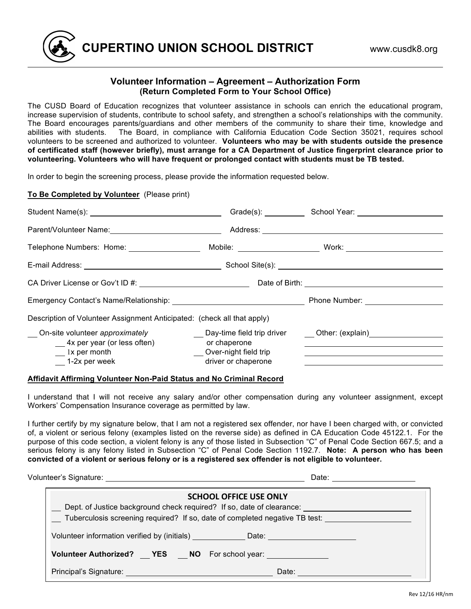

### **Volunteer Information – Agreement – Authorization Form (Return Completed Form to Your School Office)**

The CUSD Board of Education recognizes that volunteer assistance in schools can enrich the educational program, increase supervision of students, contribute to school safety, and strengthen a school's relationships with the community. The Board encourages parents/guardians and other members of the community to share their time, knowledge and abilities with students. The Board, in compliance with California Education Code Section 35021, requires school volunteers to be screened and authorized to volunteer. **Volunteers who may be with students outside the presence of certificated staff (however briefly), must arrange for a CA Department of Justice fingerprint clearance prior to volunteering. Volunteers who will have frequent or prolonged contact with students must be TB tested.** 

In order to begin the screening process, please provide the information requested below.

#### **To Be Completed by Volunteer** (Please print)

|                                                                              |                                              | Grade(s): School Year: School Year:                                              |
|------------------------------------------------------------------------------|----------------------------------------------|----------------------------------------------------------------------------------|
| Parent/Volunteer Name:<br><u> </u>                                           |                                              |                                                                                  |
| Telephone Numbers: Home: ___________________                                 |                                              |                                                                                  |
|                                                                              |                                              |                                                                                  |
|                                                                              |                                              |                                                                                  |
|                                                                              |                                              |                                                                                  |
| Description of Volunteer Assignment Anticipated: (check all that apply)      |                                              |                                                                                  |
| On-site volunteer approximately<br>$\frac{1}{2}$ 4x per year (or less often) | or chaperone                                 | ___ Day-time field trip driver _____ Other: (explain) __________________________ |
| $\frac{1}{1}$ x per month<br>1-2x per week                                   | Over-night field trip<br>driver or chaperone |                                                                                  |

#### **Affidavit Affirming Volunteer Non-Paid Status and No Criminal Record**

I understand that I will not receive any salary and/or other compensation during any volunteer assignment, except Workers' Compensation Insurance coverage as permitted by law.

I further certify by my signature below, that I am not a registered sex offender, nor have I been charged with, or convicted of, a violent or serious felony (examples listed on the reverse side) as defined in CA Education Code 45122.1. For the purpose of this code section, a violent felony is any of those listed in Subsection "C" of Penal Code Section 667.5; and a serious felony is any felony listed in Subsection "C" of Penal Code Section 1192.7. **Note: A person who has been convicted of a violent or serious felony or is a registered sex offender is not eligible to volunteer.** 

Volunteer's Signature: Manual Communication of the Communication of the Date: Date:

| <b>SCHOOL OFFICE USE ONLY</b>                                                                        |  |  |
|------------------------------------------------------------------------------------------------------|--|--|
| Dept. of Justice background check required? If so, date of clearance: ______________________________ |  |  |
| Tuberculosis screening required? If so, date of completed negative TB test:                          |  |  |
| Volunteer information verified by (initials) _____________Date: ________________                     |  |  |
| Volunteer Authorized? __ YES __ NO For school year: ____________________________                     |  |  |
| <b>Principal's Signature: Example 2018</b><br>Date:                                                  |  |  |